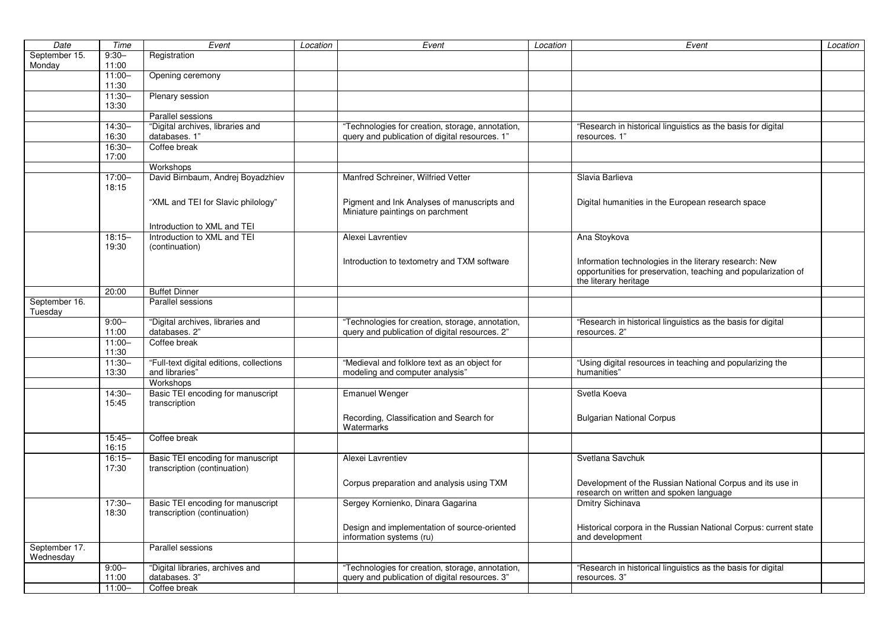| Date                       | Time               | Event                                                             | Location | Event                                                                           | Location | Event                                                                                                                    | Location |
|----------------------------|--------------------|-------------------------------------------------------------------|----------|---------------------------------------------------------------------------------|----------|--------------------------------------------------------------------------------------------------------------------------|----------|
| September 15.              | $9:30-$            | Registration                                                      |          |                                                                                 |          |                                                                                                                          |          |
| Monday                     | 11:00              |                                                                   |          |                                                                                 |          |                                                                                                                          |          |
|                            | $11:00 -$          | Opening ceremony                                                  |          |                                                                                 |          |                                                                                                                          |          |
|                            | 11:30              |                                                                   |          |                                                                                 |          |                                                                                                                          |          |
|                            | $11:30-$           | Plenary session                                                   |          |                                                                                 |          |                                                                                                                          |          |
|                            | 13:30              |                                                                   |          |                                                                                 |          |                                                                                                                          |          |
|                            |                    | Parallel sessions                                                 |          |                                                                                 |          |                                                                                                                          |          |
|                            | 14:30-             | "Digital archives, libraries and                                  |          | "Technologies for creation, storage, annotation,                                |          | "Research in historical linguistics as the basis for digital                                                             |          |
|                            | 16:30              | databases. 1"                                                     |          | query and publication of digital resources. 1"                                  |          | resources. 1"                                                                                                            |          |
|                            | 16:30-             | Coffee break                                                      |          |                                                                                 |          |                                                                                                                          |          |
|                            | 17:00              |                                                                   |          |                                                                                 |          |                                                                                                                          |          |
|                            |                    | Workshops                                                         |          |                                                                                 |          |                                                                                                                          |          |
|                            | $17:00 -$          | David Birnbaum, Andrej Boyadzhiev                                 |          | Manfred Schreiner, Wilfried Vetter                                              |          | Slavia Barlieva                                                                                                          |          |
|                            | 18:15              |                                                                   |          |                                                                                 |          |                                                                                                                          |          |
|                            |                    | "XML and TEI for Slavic philology"                                |          | Pigment and Ink Analyses of manuscripts and<br>Miniature paintings on parchment |          | Digital humanities in the European research space                                                                        |          |
|                            |                    | Introduction to XML and TEI                                       |          |                                                                                 |          |                                                                                                                          |          |
|                            | $18:15 -$          | Introduction to XML and TEI                                       |          | Alexei Lavrentiev                                                               |          | Ana Stoykova                                                                                                             |          |
|                            | 19:30              | (continuation)                                                    |          |                                                                                 |          |                                                                                                                          |          |
|                            |                    |                                                                   |          | Introduction to textometry and TXM software                                     |          | Information technologies in the literary research: New<br>opportunities for preservation, teaching and popularization of |          |
|                            |                    |                                                                   |          |                                                                                 |          | the literary heritage                                                                                                    |          |
|                            | 20:00              | <b>Buffet Dinner</b>                                              |          |                                                                                 |          |                                                                                                                          |          |
| September 16.<br>Tuesday   |                    | Parallel sessions                                                 |          |                                                                                 |          |                                                                                                                          |          |
|                            | $9:00 -$           | "Digital archives, libraries and                                  |          | "Technologies for creation, storage, annotation,                                |          | "Research in historical linguistics as the basis for digital                                                             |          |
|                            | 11:00              | databases. 2"                                                     |          | query and publication of digital resources. 2"                                  |          | resources. 2"                                                                                                            |          |
|                            | $11:00 -$<br>11:30 | Coffee break                                                      |          |                                                                                 |          |                                                                                                                          |          |
|                            | $11:30-$           | "Full-text digital editions, collections                          |          | "Medieval and folklore text as an object for                                    |          | "Using digital resources in teaching and popularizing the                                                                |          |
|                            | 13:30              | and libraries"                                                    |          | modeling and computer analysis"                                                 |          | humanities"                                                                                                              |          |
|                            |                    | Workshops                                                         |          |                                                                                 |          |                                                                                                                          |          |
|                            | $14:30 -$<br>15:45 | Basic TEI encoding for manuscript<br>transcription                |          | <b>Emanuel Wenger</b>                                                           |          | Svetla Koeva                                                                                                             |          |
|                            |                    |                                                                   |          | Recording, Classification and Search for<br>Watermarks                          |          | <b>Bulgarian National Corpus</b>                                                                                         |          |
|                            | $15:45 -$<br>16:15 | Coffee break                                                      |          |                                                                                 |          |                                                                                                                          |          |
|                            | $16:15 -$<br>17:30 | Basic TEI encoding for manuscript<br>transcription (continuation) |          | Alexei Lavrentiev                                                               |          | Svetlana Savchuk                                                                                                         |          |
|                            |                    |                                                                   |          | Corpus preparation and analysis using TXM                                       |          | Development of the Russian National Corpus and its use in<br>research on written and spoken language                     |          |
|                            | $17:30 -$<br>18:30 | Basic TEI encoding for manuscript<br>transcription (continuation) |          | Sergey Kornienko, Dinara Gagarina                                               |          | Dmitry Sichinava                                                                                                         |          |
|                            |                    |                                                                   |          | Design and implementation of source-oriented<br>information systems (ru)        |          | Historical corpora in the Russian National Corpus: current state<br>and development                                      |          |
| September 17.<br>Wednesday |                    | Parallel sessions                                                 |          |                                                                                 |          |                                                                                                                          |          |
|                            | $9:00 -$           | "Digital libraries, archives and                                  |          | "Technologies for creation, storage, annotation,                                |          | "Research in historical linguistics as the basis for digital                                                             |          |
|                            | 11:00              | databases. 3"                                                     |          | query and publication of digital resources. 3"                                  |          | resources. 3"                                                                                                            |          |
|                            | $11:00 -$          | Coffee break                                                      |          |                                                                                 |          |                                                                                                                          |          |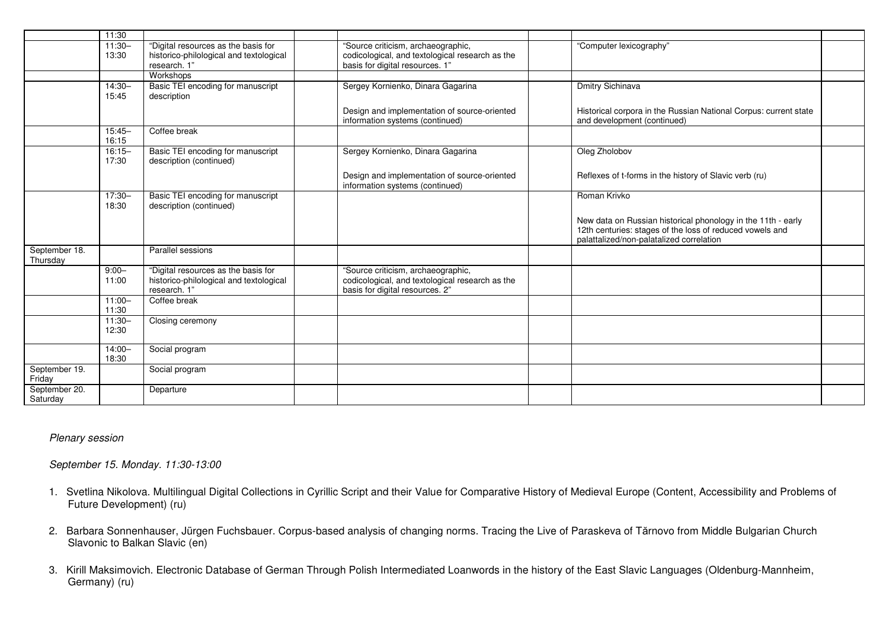|                           | 11:30              |                                                                                                |                                                                                                                          |                                                                                                                                                                      |  |
|---------------------------|--------------------|------------------------------------------------------------------------------------------------|--------------------------------------------------------------------------------------------------------------------------|----------------------------------------------------------------------------------------------------------------------------------------------------------------------|--|
|                           | $11:30-$<br>13:30  | "Digital resources as the basis for<br>historico-philological and textological<br>research. 1" | "Source criticism, archaeographic,<br>codicological, and textological research as the<br>basis for digital resources. 1" | "Computer lexicography"                                                                                                                                              |  |
|                           |                    | Workshops                                                                                      |                                                                                                                          |                                                                                                                                                                      |  |
|                           | $14:30-$<br>15:45  | Basic TEI encoding for manuscript<br>description                                               | Sergey Kornienko, Dinara Gagarina                                                                                        | Dmitry Sichinava                                                                                                                                                     |  |
|                           |                    |                                                                                                | Design and implementation of source-oriented<br>information systems (continued)                                          | Historical corpora in the Russian National Corpus: current state<br>and development (continued)                                                                      |  |
|                           | $15:45 -$<br>16:15 | Coffee break                                                                                   |                                                                                                                          |                                                                                                                                                                      |  |
|                           | $16:15 -$<br>17:30 | Basic TEI encoding for manuscript<br>description (continued)                                   | Sergey Kornienko, Dinara Gagarina                                                                                        | Oleg Zholobov                                                                                                                                                        |  |
|                           |                    |                                                                                                | Design and implementation of source-oriented<br>information systems (continued)                                          | Reflexes of t-forms in the history of Slavic verb (ru)                                                                                                               |  |
|                           | $17:30 -$<br>18:30 | Basic TEI encoding for manuscript<br>description (continued)                                   |                                                                                                                          | Roman Krivko                                                                                                                                                         |  |
|                           |                    |                                                                                                |                                                                                                                          | New data on Russian historical phonology in the 11th - early<br>12th centuries: stages of the loss of reduced vowels and<br>palattalized/non-palatalized correlation |  |
| September 18.<br>Thursday |                    | Parallel sessions                                                                              |                                                                                                                          |                                                                                                                                                                      |  |
|                           | $9:00 -$<br>11:00  | "Digital resources as the basis for<br>historico-philological and textological<br>research. 1" | "Source criticism, archaeographic,<br>codicological, and textological research as the<br>basis for digital resources. 2" |                                                                                                                                                                      |  |
|                           | $11:00 -$<br>11:30 | Coffee break                                                                                   |                                                                                                                          |                                                                                                                                                                      |  |
|                           | $11:30-$<br>12:30  | Closing ceremony                                                                               |                                                                                                                          |                                                                                                                                                                      |  |
|                           | $14:00 -$<br>18:30 | Social program                                                                                 |                                                                                                                          |                                                                                                                                                                      |  |
| September 19.<br>Friday   |                    | Social program                                                                                 |                                                                                                                          |                                                                                                                                                                      |  |
| September 20.<br>Saturday |                    | Departure                                                                                      |                                                                                                                          |                                                                                                                                                                      |  |

### *Plenary session*

*September 15. Monday. 11:30-13:00* 

- 1. Svetlina Nikolova. Multilingual Digital Collections in Cyrillic Script and their Value for Comparative History of Medieval Europe (Content, Accessibility and Problems of Future Development) (ru)
- 2. Barbara Sonnenhauser, Jürgen Fuchsbauer. Corpus-based analysis of changing norms. Tracing the Live of Paraskeva of Tărnovo from Middle Bulgarian Church Slavonic to Balkan Slavic (en)
- 3. Kirill Maksimovich. Electronic Database of German Through Polish Intermediated Loanwords in the history of the East Slavic Languages (Oldenburg-Mannheim, Germany) (ru)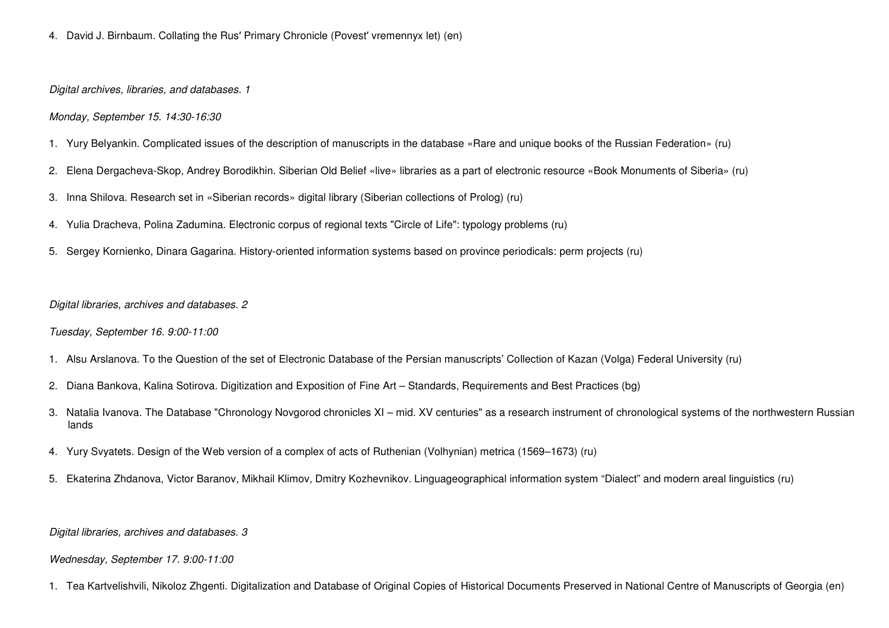4. David J. Birnbaum. Collating the Rus′ Primary Chronicle (Povest′ vremennyx let) (en)

*Digital archives, libraries, and databases. 1* 

## *Monday, September 15. 14:30-16:30*

- 1. Yury Belyankin. Complicated issues of the description of manuscripts in the database «Rare and unique books of the Russian Federation» (ru)
- 2. Elena Dergacheva-Skop, Andrey Borodikhin. Siberian Old Belief «live» libraries as a part of electronic resource «Book Monuments of Siberia» (ru)
- 3. Inna Shilova. Research set in «Siberian records» digital library (Siberian collections of Prolog) (ru)
- 4. Yulia Dracheva, Polina Zadumina. Electronic corpus of regional texts "Circle of Life": typology problems (ru)
- 5. Sergey Kornienko, Dinara Gagarina. History-oriented information systems based on province periodicals: perm projects (ru)

## *Digital libraries, archives and databases. 2*

*Tuesday, September 16. 9:00-11:00* 

- 1. Alsu Arslanova. To the Question of the set of Electronic Database of the Persian manuscripts' Collection of Kazan (Volga) Federal University (ru)
- 2. Diana Bankova, Kalina Sotirova. Digitization and Exposition of Fine Art Standards, Requirements and Best Practices (bg)
- 3. Natalia Ivanova. The Database "Chronology Novgorod chronicles XI mid. XV centuries" as a research instrument of chronological systems of the northwestern Russian lands
- 4. Yury Svyatets. Design of the Web version of a complex of acts of Ruthenian (Volhynian) metrica (1569–1673) (ru)
- 5. Ekaterina Zhdanova, Victor Baranov, Mikhail Klimov, Dmitry Kozhevnikov. Linguageographical information system "Dialect" and modern areal linguistics (ru)

*Digital libraries, archives and databases. 3* 

### *Wednesday, September 17. 9:00-11:00*

1. Tea Kartvelishvili, Nikoloz Zhgenti. Digitalization and Database of Original Copies of Historical Documents Preserved in National Centre of Manuscripts of Georgia (en)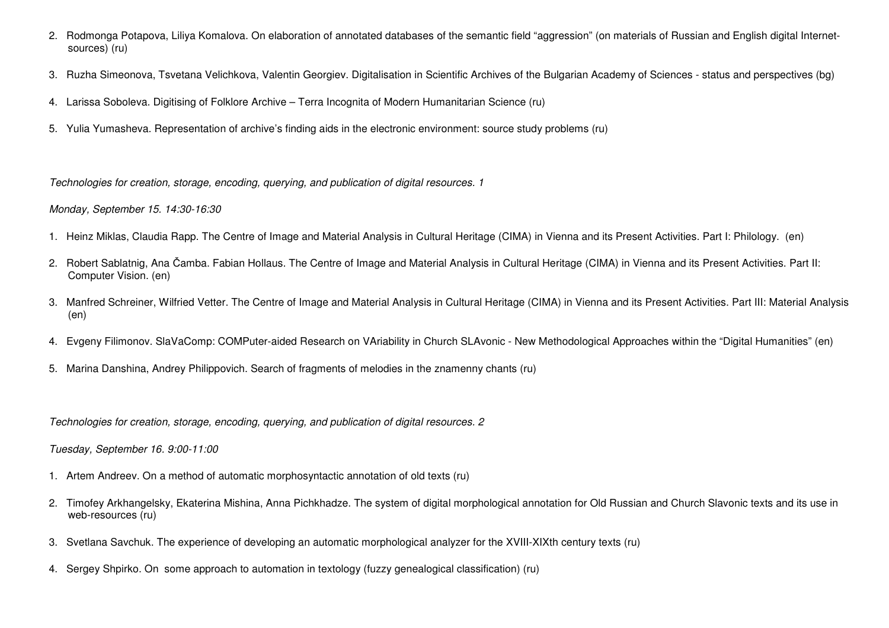- 2. Rodmonga Potapova, Liliya Komalova. On elaboration of annotated databases of the semantic field "aggression" (on materials of Russian and English digital Internetsources) (ru)
- 3. Ruzha Simeonova, Tsvetana Velichkova, Valentin Georgiev. Digitalisation in Scientific Archives of the Bulgarian Academy of Sciences status and perspectives (bg)
- 4. Larissa Soboleva. Digitising of Folklore Archive Terra Incognita of Modern Humanitarian Science (ru)
- 5. Yulia Yumasheva. Representation of archive's finding aids in the electronic environment: source study problems (ru)

*Technologies for creation, storage, encoding, querying, and publication of digital resources. 1* 

# *Monday, September 15. 14:30-16:30*

- 1. Heinz Miklas, Claudia Rapp. The Centre of Image and Material Analysis in Cultural Heritage (CIMA) in Vienna and its Present Activities. Part I: Philology. (en)
- 2. Robert Sablatnig, Ana Čamba. Fabian Hollaus. The Centre of Image and Material Analysis in Cultural Heritage (CIMA) in Vienna and its Present Activities. Part II: Computer Vision. (en)
- 3. Manfred Schreiner, Wilfried Vetter. The Centre of Image and Material Analysis in Cultural Heritage (CIMA) in Vienna and its Present Activities. Part III: Material Analysis (en)
- 4. Evgeny Filimonov. SlaVaComp: COMPuter-aided Research on VAriability in Church SLAvonic New Methodological Approaches within the "Digital Humanities" (en)
- 5. Marina Danshina, Andrey Philippovich. Search of fragments of melodies in the znamenny chants (ru)

*Technologies for creation, storage, encoding, querying, and publication of digital resources. 2* 

*Tuesday, September 16. 9:00-11:00* 

- 1. Artem Andreev. On a method of automatic morphosyntactic annotation of old texts (ru)
- 2. Timofey Arkhangelsky, Ekaterina Mishina, Anna Pichkhadze. The system of digital morphological annotation for Old Russian and Church Slavonic texts and its use in web-resources (ru)
- 3. Svetlana Savchuk. The experience of developing an automatic morphological analyzer for the XVIII-XIXth century texts (ru)
- 4. Sergey Shpirko. On some approach to automation in textology (fuzzy genealogical classification) (ru)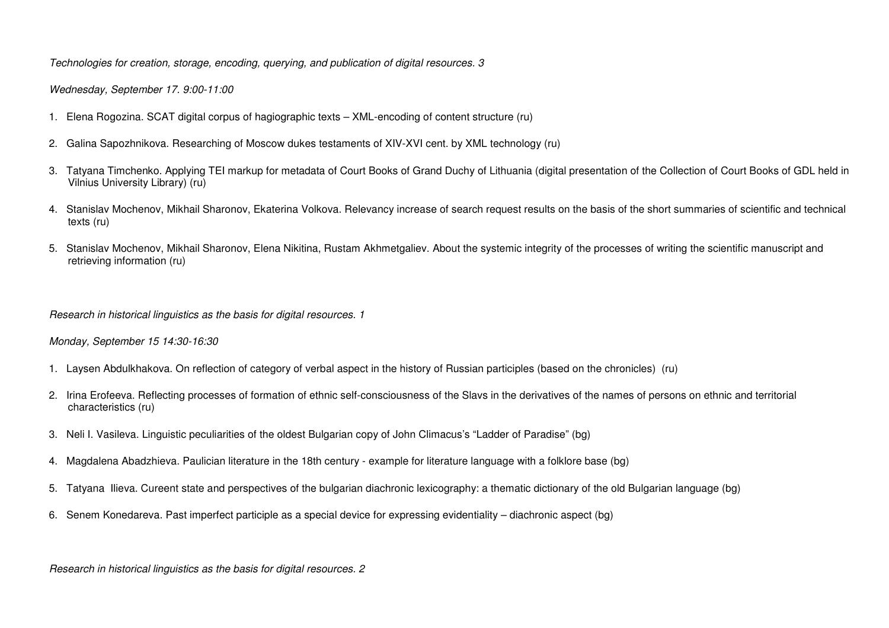*Technologies for creation, storage, encoding, querying, and publication of digital resources. 3* 

*Wednesday, September 17. 9:00-11:00* 

- 1. Elena Rogozina. SCAT digital corpus of hagiographic texts XML-encoding of content structure (ru)
- 2. Galina Sapozhnikova. Researching of Moscow dukes testaments of XIV-XVI cent. by XML technology (ru)
- 3. Tatyana Timchenko. Applying TEI markup for metadata of Court Books of Grand Duchy of Lithuania (digital presentation of the Collection of Court Books of GDL held in Vilnius University Library) (ru)
- 4. Stanislav Mochenov, Mikhail Sharonov, Ekaterina Volkova. Relevancy increase of search request results on the basis of the short summaries of scientific and technical texts (ru)
- 5. Stanislav Mochenov, Mikhail Sharonov, Elena Nikitina, Rustam Akhmetgaliev. About the systemic integrity of the processes of writing the scientific manuscript and retrieving information (ru)

*Research in historical linguistics as the basis for digital resources. 1* 

*Monday, September 15 14:30-16:30* 

- 1. Laysen Abdulkhakova. On reflection of category of verbal aspect in the history of Russian participles (based on the chronicles) (ru)
- 2. Irina Erofeeva. Reflecting processes of formation of ethnic self-consciousness of the Slavs in the derivatives of the names of persons on ethnic and territorial characteristics (ru)
- 3. Neli I. Vasileva. Linguistic peculiarities of the oldest Bulgarian copy of John Climacus's "Ladder of Paradise" (bg)
- 4. Magdalena Abadzhieva. Paulician literature in the 18th century example for literature language with a folklore base (bg)
- 5. Tatyana Ilieva. Cureent state and perspectives of the bulgarian diachronic lexicography: a thematic dictionary of the old Bulgarian language (bg)
- 6. Senem Konedareva. Past imperfect participle as a special device for expressing evidentiality diachronic aspect (bg)

*Research in historical linguistics as the basis for digital resources. 2*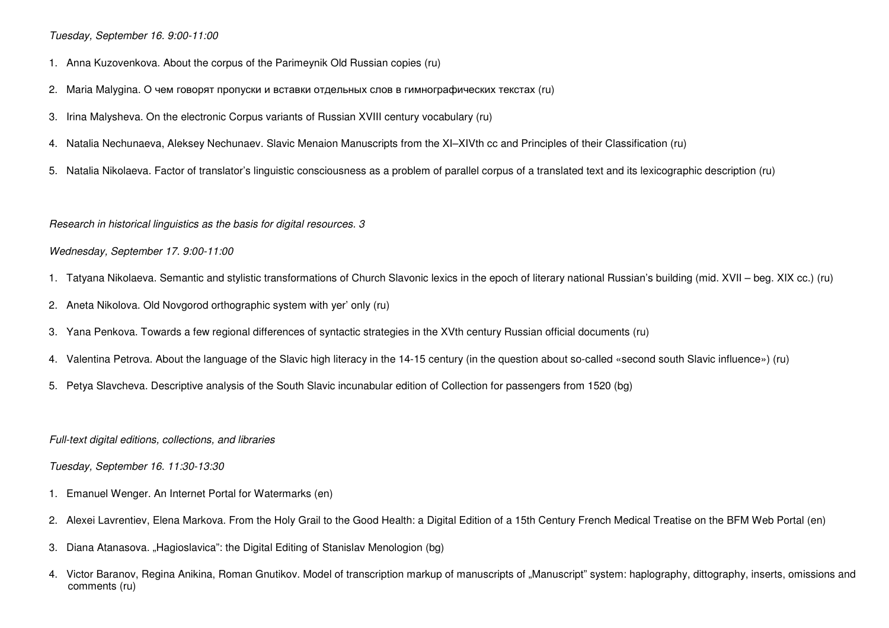*Tuesday, September 16. 9:00-11:00* 

- 1. Anna Kuzovenkova. About the corpus of the Parimeynik Old Russian copies (ru)
- 2. Maria Malygina. О чем говорят пропуски <sup>и</sup> вставки отдельных слов <sup>в</sup> гимнографических текстах (ru)
- 3. Irina Malysheva. On the electronic Corpus variants of Russian XVIII century vocabulary (ru)
- 4. Natalia Nechunaeva, Aleksey Nechunaev. Slavic Menaion Manuscripts from the XI–XIVth cс and Principles of their Classification (ru)
- 5. Natalia Nikolaeva. Factor of translator's linguistic consciousness as a problem of parallel corpus of a translated text and its lexicographic description (ru)

*Research in historical linguistics as the basis for digital resources. 3* 

#### *Wednesday, September 17. 9:00-11:00*

- 1. Tatyana Nikolaeva. Semantic and stylistic transformations of Church Slavonic lexics in the epoch of literary national Russian's building (mid. XVII beg. XIX cc.) (ru)
- 2. Aneta Nikolova. Old Novgorod orthographic system with yer' only (ru)
- 3. Yana Penkova. Towards a few regional differences of syntactic strategies in the XVth century Russian official documents (ru)
- 4. Valentina Petrova. About the language of the Slavic high literacy in the 14-15 century (in the question about so-called «second south Slavic influence») (ru)
- 5. Petya Slavcheva. Descriptive analysis of the South Slavic incunabular edition of Collection for passengers from 1520 (bg)

*Full-text digital editions, collections, and libraries* 

#### *Tuesday, September 16. 11:30-13:30*

- 1. Emanuel Wenger. An Internet Portal for Watermarks (en)
- 2. Alexei Lavrentiev, Elena Markova. From the Holy Grail to the Good Health: a Digital Edition of a 15th Century French Medical Treatise on the BFM Web Portal (en)
- 3. Diana Atanasova. "Hagioslavica": the Digital Editing of Stanislav Menologion (bg)
- 4. Victor Baranov, Regina Anikina, Roman Gnutikov. Model of transcription markup of manuscripts of "Manuscript" system: haplography, dittography, inserts, omissions and comments (ru)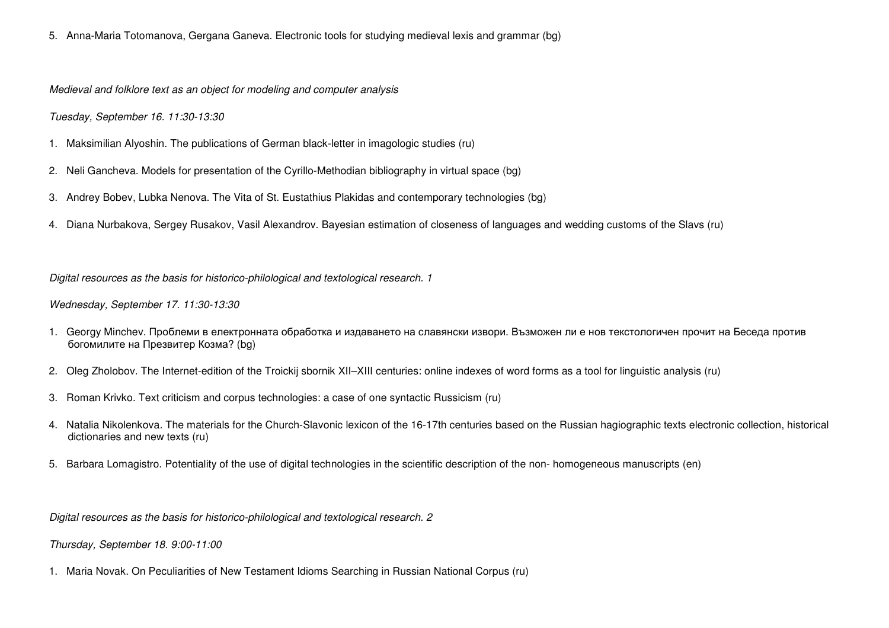5. Anna-Maria Totomanova, Gergana Ganeva. Electronic tools for studying medieval lexis and grammar (bg)

*Medieval and folklore text as an object for modeling and computer analysis* 

*Tuesday, September 16. 11:30-13:30* 

- 1. Maksimilian Alyoshin. The publications of German black-letter in imagologic studies (ru)
- 2. Neli Gancheva. Models for presentation of the Cyrillo-Methodian bibliography in virtual space (bg)
- 3. Andrey Bobev, Lubka Nenova. The Vita of St. Eustathius Plakidas and contemporary technologies (bg)
- 4. Diana Nurbakova, Sergey Rusakov, Vasil Alexandrov. Bayesian estimation of closeness of languages and wedding customs of the Slavs (ru)

*Digital resources as the basis for historico-philological and textological research. 1* 

# *Wednesday, September 17. 11:30-13:30*

- 1. Georgy Minchev. Проблеми <sup>в</sup> електронната обработка <sup>и</sup> издаването на славянски извори. Възможен ли <sup>е</sup> нов текстологичен прочит на Беседа против богомилите на Презвитер Козма? (bg)
- 2. Oleg Zholobov. The Internet-edition of the Troickij sbornik XII–XIII centuries: online indexes of word forms as a tool for linguistic analysis (ru)
- 3. Roman Krivko. Text criticism and corpus technologies: a case of one syntactic Russicism (ru)
- 4. Natalia Nikolenkova. The materials for the Church-Slavonic lexicon of the 16-17th centuries based on the Russian hagiographic texts electronic collection, historical dictionaries and new texts (ru)
- 5. Barbara Lomagistro. Potentiality of the use of digital technologies in the scientific description of the non- homogeneous manuscripts (en)

*Digital resources as the basis for historico-philological and textological research. 2* 

*Thursday, September 18. 9:00-11:00* 

1. Maria Novak. On Peculiarities of New Testament Idioms Searching in Russian National Corpus (ru)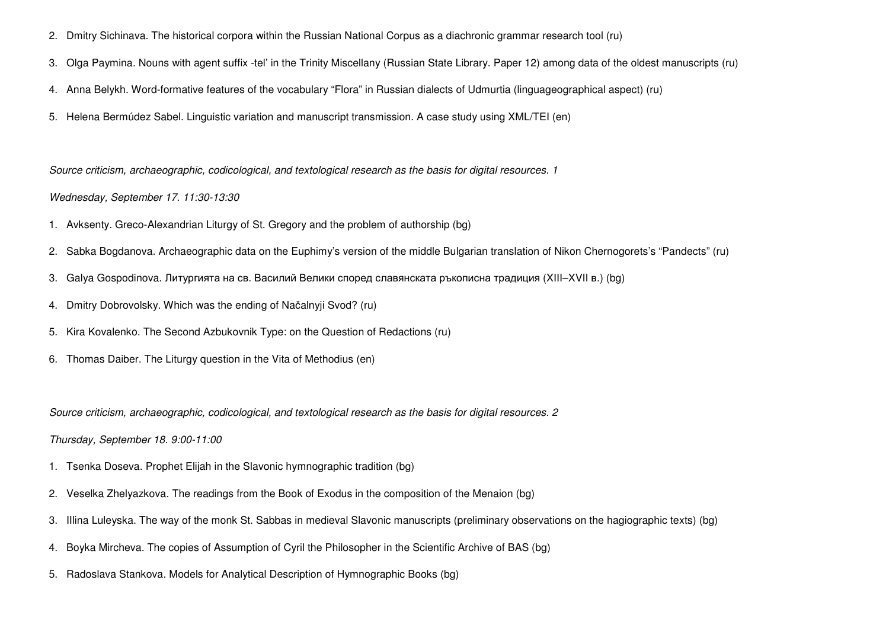- 2. Dmitry Sichinava. The historical corpora within the Russian National Corpus as a diachronic grammar research tool (ru)
- 3. Olga Paymina. Nouns with agent suffix -tel' in the Trinity Miscellany (Russian State Library. Paper 12) among data of the oldest manuscripts (ru)
- 4. Anna Belykh. Word-formative features of the vocabulary "Flora" in Russian dialects of Udmurtia (linguageographical aspect) (ru)
- 5. Helena Bermúdez Sabel. Linguistic variation and manuscript transmission. A case study using XML/TEI (en)

*Source criticism, archaeographic, codicological, and textological research as the basis for digital resources. 1* 

# *Wednesday, September 17. 11:30-13:30*

- 1. Avksenty. Greco-Alexandrian Liturgy of St. Gregory and the problem of authorship (bg)
- 2. Sabka Bogdanova. Archaeographic data on the Euphimy's version of the middle Bulgarian translation of Nikon Chernogorets's "Pandects" (ru)
- 3. Galya Gospodinova. Литургията на св. Василий Велики според славянската ръкописна традиция (XIII–XVII в.) (bg)
- 4. Dmitry Dobrovolsky. Which was the ending of Načalnyji Svod? (ru)
- 5. Kira Kovalenko. The Second Azbukovnik Type: on the Question of Redactions (ru)
- 6. Thomas Daiber. The Liturgy question in the Vita of Methodius (en)

*Source criticism, archaeographic, codicological, and textological research as the basis for digital resources. 2* 

*Thursday, September 18. 9:00-11:00* 

- 1. Tsenka Doseva. Prophet Elijah in the Slavonic hymnographic tradition (bg)
- 2. Veselka Zhelyazkova. The readings from the Book of Exodus in the composition of the Menaion (bg)
- 3. IIlina Luleyska. The way of the monk St. Sabbas in medieval Slavonic manuscripts (preliminary observations on the hagiographic texts) (bg)
- 4. Boyka Mircheva. The copies of Assumption of Cyril the Philosopher in the Scientific Archive of BAS (bg)
- 5. Radoslava Stankova. Models for Analytical Description of Hymnographic Books (bg)